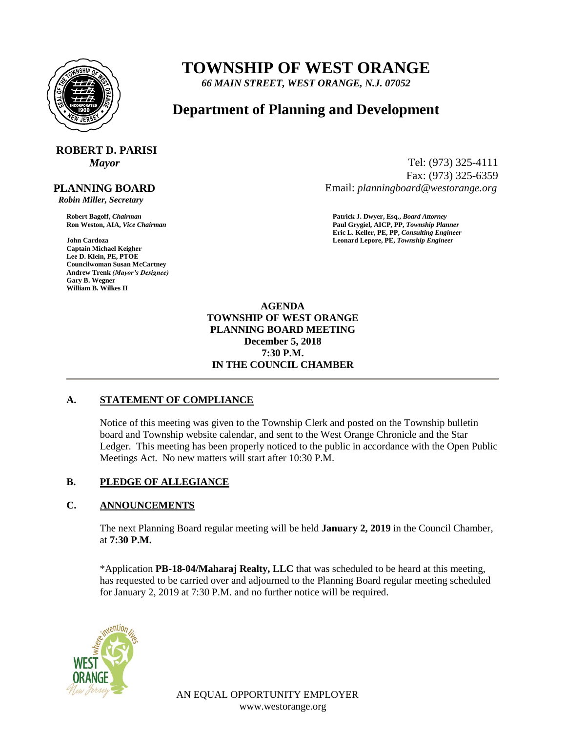

## **TOWNSHIP OF WEST ORANGE**

*66 MAIN STREET, WEST ORANGE, N.J. 07052*

### **Department of Planning and Development**

# **ROBERT D. PARISI**

#### **PLANNING BOARD**

 *Robin Miller, Secretary*

**Captain Michael Keigher Lee D. Klein, PE, PTOE Councilwoman Susan McCartney Andrew Trenk** *(Mayor's Designee)* **Gary B. Wegner William B. Wilkes II**

*Mayor* Tel: (973) 325-4111 Fax: (973) 325-6359 Email: *planningboard@westorange.org*

**Robert Bagoff,** *Chairman* **Patrick J. Dwyer, Esq.,** *Board Attorney* **Ron Weston, AIA,** *Vice Chairman* **Paul Grygiel, AICP, PP,** *Township Planner* **Eric L. Keller, PE, PP,** *Consulting Engineer* **John Cardoza Leonard Lepore, PE,** *Township Engineer*

> **AGENDA TOWNSHIP OF WEST ORANGE PLANNING BOARD MEETING December 5, 2018 7:30 P.M. IN THE COUNCIL CHAMBER**

#### **A. STATEMENT OF COMPLIANCE**

Notice of this meeting was given to the Township Clerk and posted on the Township bulletin board and Township website calendar, and sent to the West Orange Chronicle and the Star Ledger. This meeting has been properly noticed to the public in accordance with the Open Public Meetings Act. No new matters will start after 10:30 P.M.

#### **B. PLEDGE OF ALLEGIANCE**

#### **C. ANNOUNCEMENTS**

The next Planning Board regular meeting will be held **January 2, 2019** in the Council Chamber, at **7:30 P.M.**

\*Application **PB-18-04/Maharaj Realty, LLC** that was scheduled to be heard at this meeting, has requested to be carried over and adjourned to the Planning Board regular meeting scheduled for January 2, 2019 at 7:30 P.M. and no further notice will be required.